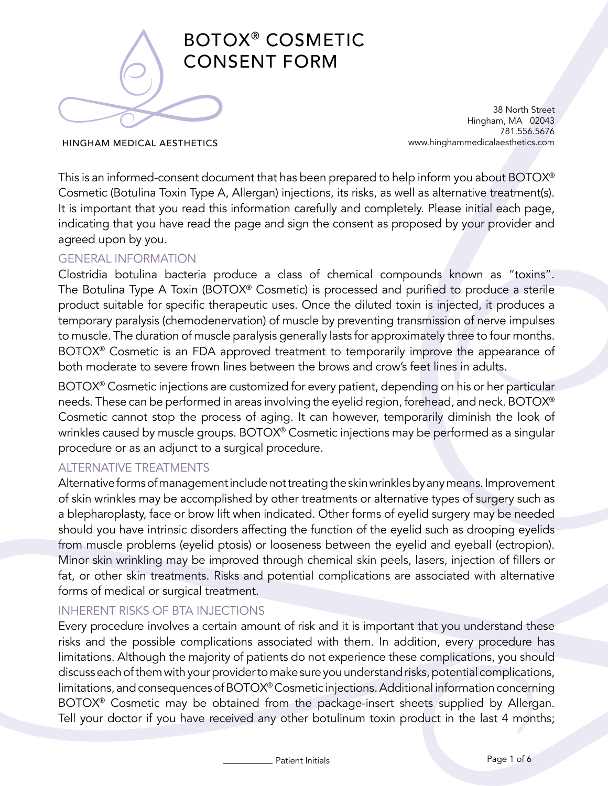

38 North Street Hingham, MA 02043 781.556.5676 www.hinghammedicalaesthetics.com

HINGHAM MEDICAL AESTHETICS

This is an informed-consent document that has been prepared to help inform you about BOTOX® Cosmetic (Botulina Toxin Type A, Allergan) injections, its risks, as well as alternative treatment(s). It is important that you read this information carefully and completely. Please initial each page, indicating that you have read the page and sign the consent as proposed by your provider and agreed upon by you.

## GENERAL INFORMATION

Clostridia botulina bacteria produce a class of chemical compounds known as "toxins". The Botulina Type A Toxin (BOTOX® Cosmetic) is processed and purified to produce a sterile product suitable for specific therapeutic uses. Once the diluted toxin is injected, it produces a temporary paralysis (chemodenervation) of muscle by preventing transmission of nerve impulses to muscle. The duration of muscle paralysis generally lasts for approximately three to four months. BOTOX<sup>®</sup> Cosmetic is an FDA approved treatment to temporarily improve the appearance of both moderate to severe frown lines between the brows and crow's feet lines in adults.

BOTOX® Cosmetic injections are customized for every patient, depending on his or her particular needs. These can be performed in areas involving the eyelid region, forehead, and neck. BOTOX® Cosmetic cannot stop the process of aging. It can however, temporarily diminish the look of wrinkles caused by muscle groups. BOTOX® Cosmetic injections may be performed as a singular procedure or as an adjunct to a surgical procedure.

## ALTERNATIVE TREATMENTS

Alternative forms of management include not treating the skin wrinkles by any means. Improvement of skin wrinkles may be accomplished by other treatments or alternative types of surgery such as a blepharoplasty, face or brow lift when indicated. Other forms of eyelid surgery may be needed should you have intrinsic disorders affecting the function of the eyelid such as drooping eyelids from muscle problems (eyelid ptosis) or looseness between the eyelid and eyeball (ectropion). Minor skin wrinkling may be improved through chemical skin peels, lasers, injection of fillers or fat, or other skin treatments. Risks and potential complications are associated with alternative forms of medical or surgical treatment.

## INHERENT RISKS OF BTA INJECTIONS

Every procedure involves a certain amount of risk and it is important that you understand these risks and the possible complications associated with them. In addition, every procedure has limitations. Although the majority of patients do not experience these complications, you should discuss each of them with your provider to make sure you understand risks, potential complications, limitations, and consequences of BOTOX® Cosmetic injections. Additional information concerning BOTOX® Cosmetic may be obtained from the package-insert sheets supplied by Allergan. Tell your doctor if you have received any other botulinum toxin product in the last 4 months;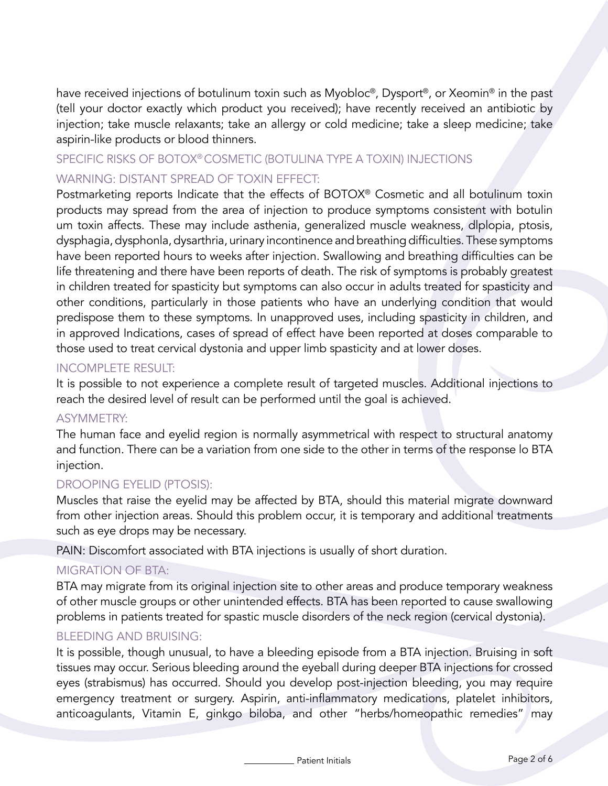have received injections of botulinum toxin such as Myobloc®, Dysport®, or Xeomin® in the past (tell your doctor exactly which product you received); have recently received an antibiotic by injection; take muscle relaxants; take an allergy or cold medicine; take a sleep medicine; take aspirin-like products or blood thinners.

# SPECIFIC RISKS OF BOTOX® COSMETIC (BOTULINA TYPE A TOXIN) INJECTIONS WARNING: DISTANT SPREAD OF TOXIN EFFECT:

Postmarketing reports Indicate that the effects of BOTOX® Cosmetic and all botulinum toxin products may spread from the area of injection to produce symptoms consistent with botulin um toxin affects. These may include asthenia, generalized muscle weakness, dlplopia, ptosis, dysphagia, dysphonla, dysarthria, urinary incontinence and breathing difficulties. These symptoms have been reported hours to weeks after injection. Swallowing and breathing difficulties can be life threatening and there have been reports of death. The risk of symptoms is probably greatest in children treated for spasticity but symptoms can also occur in adults treated for spasticity and other conditions, particularly in those patients who have an underlying condition that would predispose them to these symptoms. In unapproved uses, including spasticity in children, and in approved Indications, cases of spread of effect have been reported at doses comparable to those used to treat cervical dystonia and upper limb spasticity and at lower doses.

### INCOMPLETE RESULT:

It is possible to not experience a complete result of targeted muscles. Additional injections to reach the desired level of result can be performed until the goal is achieved.

#### ASYMMETRY:

The human face and eyelid region is normally asymmetrical with respect to structural anatomy and function. There can be a variation from one side to the other in terms of the response lo BTA injection.

## DROOPING EYELID (PTOSIS):

Muscles that raise the eyelid may be affected by BTA, should this material migrate downward from other injection areas. Should this problem occur, it is temporary and additional treatments such as eye drops may be necessary.

PAIN: Discomfort associated with BTA injections is usually of short duration.

## MIGRATION OF BTA:

BTA may migrate from its original injection site to other areas and produce temporary weakness of other muscle groups or other unintended effects. BTA has been reported to cause swallowing problems in patients treated for spastic muscle disorders of the neck region (cervical dystonia).

## BLEEDING AND BRUISING:

It is possible, though unusual, to have a bleeding episode from a BTA injection. Bruising in soft tissues may occur. Serious bleeding around the eyeball during deeper BTA injections for crossed eyes (strabismus) has occurred. Should you develop post-injection bleeding, you may require emergency treatment or surgery. Aspirin, anti-inflammatory medications, platelet inhibitors, anticoagulants, Vitamin E, ginkgo biloba, and other "herbs/homeopathic remedies" may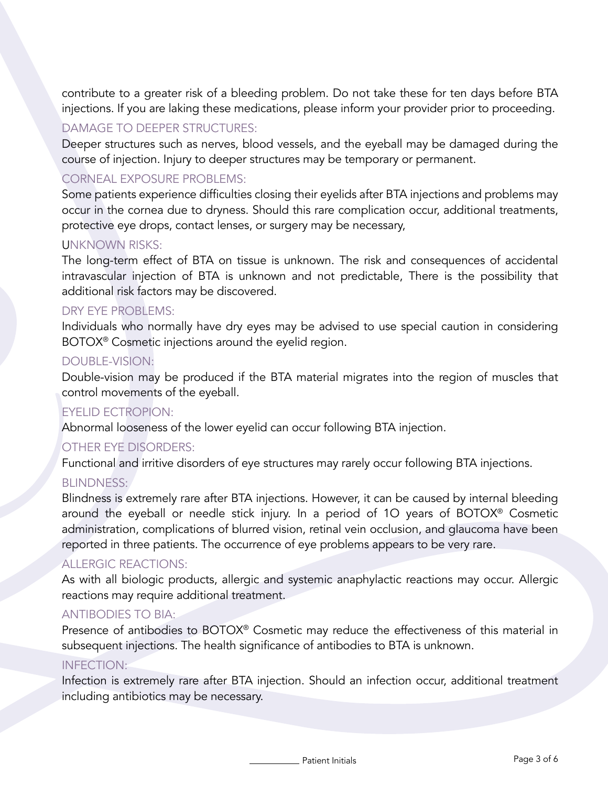contribute to a greater risk of a bleeding problem. Do not take these for ten days before BTA injections. If you are laking these medications, please inform your provider prior to proceeding.

### DAMAGE TO DEEPER STRUCTURES:

Deeper structures such as nerves, blood vessels, and the eyeball may be damaged during the course of injection. Injury to deeper structures may be temporary or permanent.

## CORNEAL EXPOSURE PROBLEMS:

Some patients experience difficulties closing their eyelids after BTA injections and problems may occur in the cornea due to dryness. Should this rare complication occur, additional treatments, protective eye drops, contact lenses, or surgery may be necessary,

### UNKNOWN RISKS:

The long-term effect of BTA on tissue is unknown. The risk and consequences of accidental intravascular injection of BTA is unknown and not predictable, There is the possibility that additional risk factors may be discovered.

### DRY EYE PROBLEMS:

Individuals who normally have dry eyes may be advised to use special caution in considering BOTOX® Cosmetic injections around the eyelid region.

### DOUBLE-VISION:

Double-vision may be produced if the BTA material migrates into the region of muscles that control movements of the eyeball.

#### EYELID ECTROPION:

Abnormal looseness of the lower eyelid can occur following BTA injection.

#### OTHER EYE DISORDERS:

Functional and irritive disorders of eye structures may rarely occur following BTA injections.

#### BLINDNESS:

Blindness is extremely rare after BTA injections. However, it can be caused by internal bleeding around the eyeball or needle stick injury. In a period of 1O years of BOTOX® Cosmetic administration, complications of blurred vision, retinal vein occlusion, and glaucoma have been reported in three patients. The occurrence of eye problems appears to be very rare.

#### ALLERGIC REACTIONS:

As with all biologic products, allergic and systemic anaphylactic reactions may occur. Allergic reactions may require additional treatment.

#### ANTIBODIES TO BIA:

Presence of antibodies to BOTOX® Cosmetic may reduce the effectiveness of this material in subsequent injections. The health significance of antibodies to BTA is unknown.

#### INFECTION:

Infection is extremely rare after BTA injection. Should an infection occur, additional treatment including antibiotics may be necessary.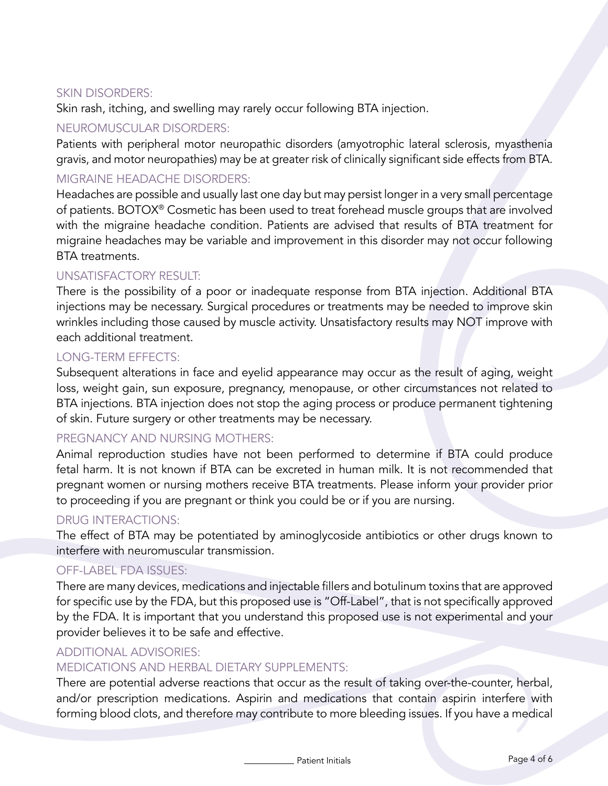### SKIN DISORDERS:

Skin rash, itching, and swelling may rarely occur following BTA injection.

### NEUROMUSCULAR DISORDERS:

Patients with peripheral motor neuropathic disorders (amyotrophic lateral sclerosis, myasthenia gravis, and motor neuropathies) may be at greater risk of clinically significant side effects from BTA.

### MIGRAINE HEADACHE DISORDERS:

Headaches are possible and usually last one day but may persist longer in a very small percentage of patients. BOTOX® Cosmetic has been used to treat forehead muscle groups that are involved with the migraine headache condition. Patients are advised that results of BTA treatment for migraine headaches may be variable and improvement in this disorder may not occur following BTA treatments.

### UNSATISFACTORY RESULT:

There is the possibility of a poor or inadequate response from BTA injection. Additional BTA injections may be necessary. Surgical procedures or treatments may be needed to improve skin wrinkles including those caused by muscle activity. Unsatisfactory results may NOT improve with each additional treatment.

### LONG-TERM EFFECTS:

Subsequent alterations in face and eyelid appearance may occur as the result of aging, weight loss, weight gain, sun exposure, pregnancy, menopause, or other circumstances not related to BTA injections. BTA injection does not stop the aging process or produce permanent tightening of skin. Future surgery or other treatments may be necessary.

## PREGNANCY AND NURSING MOTHERS:

Animal reproduction studies have not been performed to determine if BTA could produce fetal harm. It is not known if BTA can be excreted in human milk. It is not recommended that pregnant women or nursing mothers receive BTA treatments. Please inform your provider prior to proceeding if you are pregnant or think you could be or if you are nursing.

## DRUG INTERACTIONS:

The effect of BTA may be potentiated by aminoglycoside antibiotics or other drugs known to interfere with neuromuscular transmission.

## OFF-LABEL FDA ISSUES:

There are many devices, medications and injectable fillers and botulinum toxins that are approved for specific use by the FDA, but this proposed use is "Off-Label", that is not specifically approved by the FDA. It is important that you understand this proposed use is not experimental and your provider believes it to be safe and effective.

## ADDITIONAL ADVISORIES:

## MEDICATIONS AND HERBAL DIETARY SUPPLEMENTS:

There are potential adverse reactions that occur as the result of taking over-the-counter, herbal, and/or prescription medications. Aspirin and medications that contain aspirin interfere with forming blood clots, and therefore may contribute to more bleeding issues. If you have a medical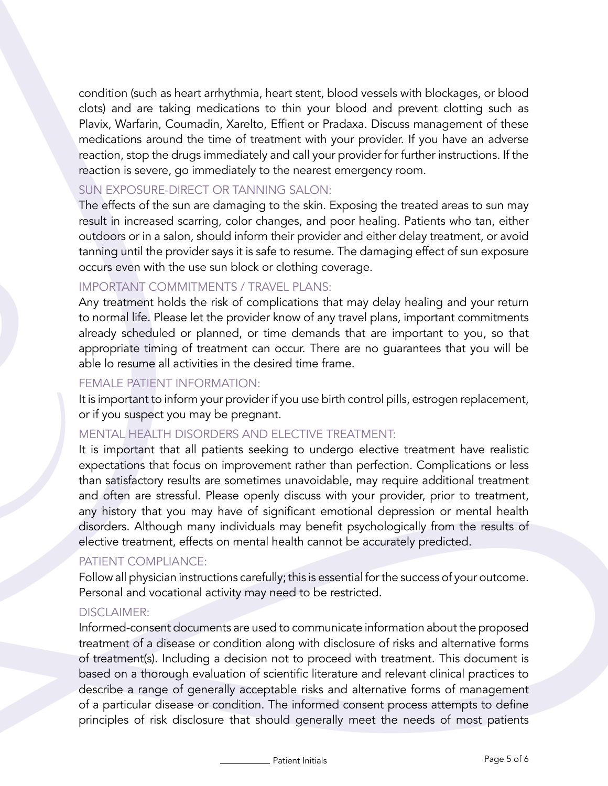condition (such as heart arrhythmia, heart stent, blood vessels with blockages, or blood clots) and are taking medications to thin your blood and prevent clotting such as Plavix, Warfarin, Coumadin, Xarelto, Effient or Pradaxa. Discuss management of these medications around the time of treatment with your provider. If you have an adverse reaction, stop the drugs immediately and call your provider for further instructions. If the reaction is severe, go immediately to the nearest emergency room.

### SUN EXPOSURE-DIRECT OR TANNING SALON:

The effects of the sun are damaging to the skin. Exposing the treated areas to sun may result in increased scarring, color changes, and poor healing. Patients who tan, either outdoors or in a salon, should inform their provider and either delay treatment, or avoid tanning until the provider says it is safe to resume. The damaging effect of sun exposure occurs even with the use sun block or clothing coverage.

## IMPORTANT COMMITMENTS / TRAVEL PLANS:

Any treatment holds the risk of complications that may delay healing and your return to normal life. Please let the provider know of any travel plans, important commitments already scheduled or planned, or time demands that are important to you, so that appropriate timing of treatment can occur. There are no guarantees that you will be able lo resume all activities in the desired time frame.

#### FEMALE PATIENT INFORMATION:

It is important to inform your provider if you use birth control pills, estrogen replacement, or if you suspect you may be pregnant.

### MENTAL HEALTH DISORDERS AND ELECTIVE TREATMENT:

It is important that all patients seeking to undergo elective treatment have realistic expectations that focus on improvement rather than perfection. Complications or less than satisfactory results are sometimes unavoidable, may require additional treatment and often are stressful. Please openly discuss with your provider, prior to treatment, any history that you may have of significant emotional depression or mental health disorders. Although many individuals may benefit psychologically from the results of elective treatment, effects on mental health cannot be accurately predicted.

#### PATIENT COMPLIANCE:

Follow all physician instructions carefully; this is essential for the success of your outcome. Personal and vocational activity may need to be restricted.

#### DISCLAIMER:

Informed-consent documents are used to communicate information about the proposed treatment of a disease or condition along with disclosure of risks and alternative forms of treatment(s). Including a decision not to proceed with treatment. This document is based on a thorough evaluation of scientific literature and relevant clinical practices to describe a range of generally acceptable risks and alternative forms of management of a particular disease or condition. The informed consent process attempts to define principles of risk disclosure that should generally meet the needs of most patients